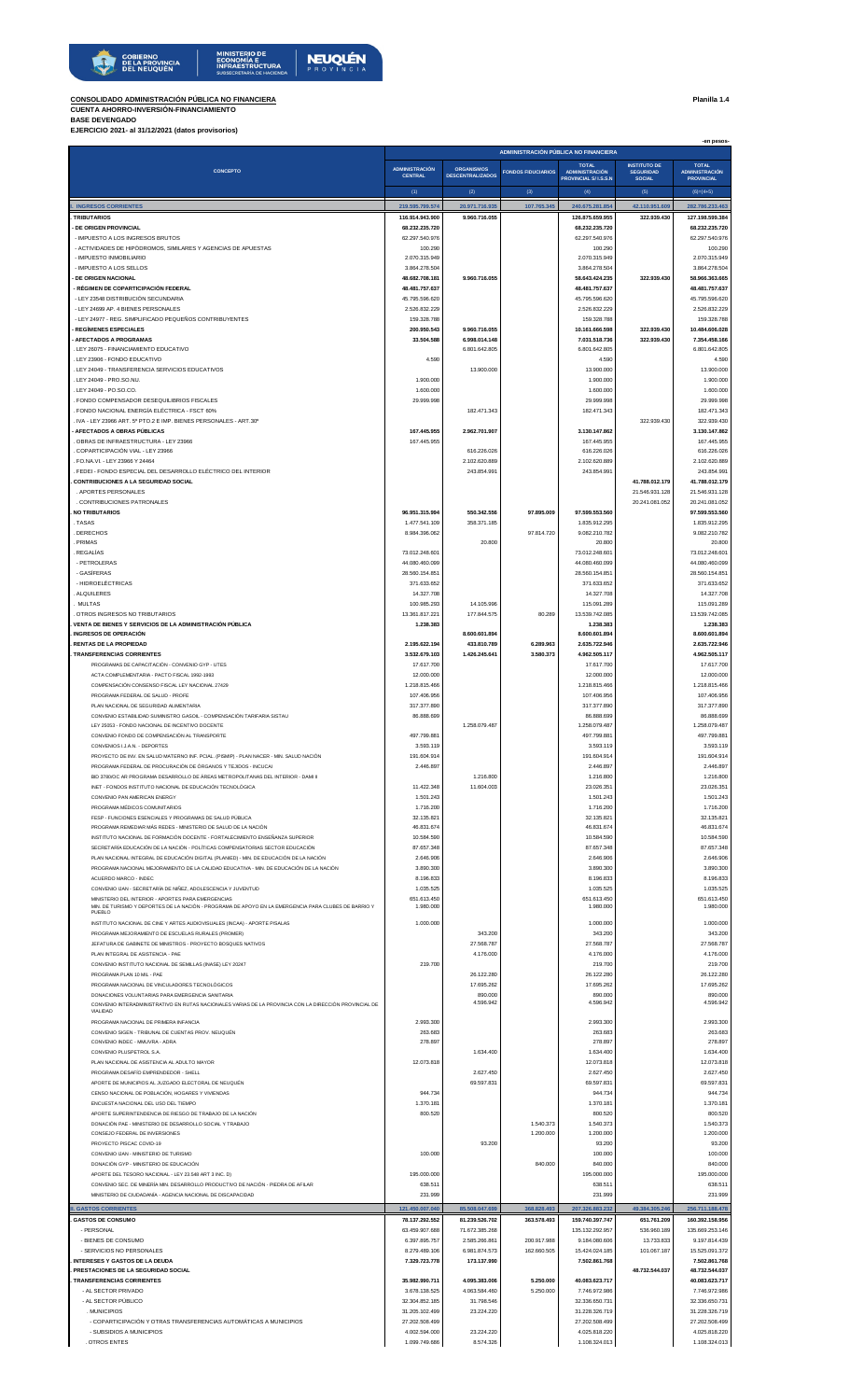

## **CONSOLIDADO ADMINISTRACIÓN PÚBLICA NO FINANCIERA Planilla 1.4 CUENTA AHORRO-INVERSIÓN-FINANCIAMIENTO BASE DEVENGADO EJERCICIO 2021- al 31/12/2021 (datos provisorios)**

|                                                                                                                                                                                   | -en pesos-<br>ADMINISTRACIÓN PÚBLICA NO FINANCIERA |                                 |                           |                                       |                                         |                                       |  |  |
|-----------------------------------------------------------------------------------------------------------------------------------------------------------------------------------|----------------------------------------------------|---------------------------------|---------------------------|---------------------------------------|-----------------------------------------|---------------------------------------|--|--|
| <b>CONCEPTO</b>                                                                                                                                                                   | <b>ADMINISTRACIÓN</b>                              | <b>ORGANISMOS</b>               | <b>FONDOS FIDUCIARIOS</b> | <b>TOTAL</b><br><b>ADMINISTRACIÓN</b> | <b>INSTITUTO DE</b><br><b>SEGURIDAD</b> | <b>TOTAL</b><br><b>ADMINISTRACIÓN</b> |  |  |
|                                                                                                                                                                                   | <b>CENTRAL</b>                                     | <b>DESCENTRALIZADOS</b>         |                           | <b>PROVINCIAL S/ I.S.S.N</b>          | <b>SOCIAL</b>                           | <b>PROVINCIAL</b>                     |  |  |
| <b>INGRESOS CORRIENTES</b>                                                                                                                                                        | (1)<br>219.595.799.574                             | (2)<br>20.971.716.935           | (3)<br>107.765.345        | (4)<br>240.675.281.854                | (5)<br>42.110.951.609                   | $(6)=(4+5)$<br>282.786.233.463        |  |  |
| <b>TRIBUTARIOS</b>                                                                                                                                                                | 116.914.943.900                                    | 9.960.716.055                   |                           | 126.875.659.955                       | 322,939.430                             | 127.198.599.384                       |  |  |
| DE ORIGEN PROVINCIAL                                                                                                                                                              | 68.232.235.720                                     |                                 |                           | 68.232.235.720                        |                                         | 68.232.235.720                        |  |  |
| - IMPUESTO A LOS INGRESOS BRUTOS<br>- ACTIVIDADES DE HIPÓDROMOS, SIMILARES Y AGENCIAS DE APUESTAS                                                                                 | 62.297.540.976<br>100.290                          |                                 |                           | 62.297.540.976<br>100,290             |                                         | 62.297.540.976<br>100.290             |  |  |
| - IMPUESTO INMOBILIARIO<br>- IMPUESTO A LOS SELLOS                                                                                                                                | 2.070.315.949<br>3.864.278.504                     |                                 |                           | 2.070.315.949<br>3.864.278.504        |                                         | 2.070.315.949<br>3.864.278.504        |  |  |
| <b>DE ORIGEN NACIONAL</b>                                                                                                                                                         | 48.682.708.181                                     | 9.960.716.055                   |                           | 58.643.424.235                        | 322.939.430                             | 58.966.363.665                        |  |  |
| - RÉGIMEN DE COPARTICIPACIÓN FEDERAL<br>- LEY 23548 DISTRIBUCIÓN SECUNDARIA                                                                                                       | 48.481.757.637                                     |                                 |                           | 48.481.757.637<br>45.795.596.620      |                                         | 48.481.757.637                        |  |  |
| - LEY 24699 AP. 4 BIENES PERSONALES                                                                                                                                               | 45.795.596.620<br>2.526.832.229                    |                                 |                           | 2.526.832.229                         |                                         | 45.795.596.620<br>2.526.832.229       |  |  |
| - LEY 24977 - REG. SIMPLIFICADO PEQUEÑOS CONTRIBUYENTES                                                                                                                           | 159.328.788                                        |                                 |                           | 159.328.788                           |                                         | 159.328.788                           |  |  |
| <b>REGÍMENES ESPECIALES</b><br><b>AFECTADOS A PROGRAMAS</b>                                                                                                                       | 200.950.543<br>33,504,588                          | 9.960.716.055<br>6,998,014,148  |                           | 10.161.666.598<br>7.031.518.736       | 322.939.430<br>322.939.430              | 10.484.606.028<br>7.354.458.166       |  |  |
| . LEY 26075 - FINANCIAMIENTO EDUCATIVO                                                                                                                                            |                                                    | 6.801.642.805                   |                           | 6.801.642.805                         |                                         | 6.801.642.805                         |  |  |
| . LEY 23906 - FONDO EDUCATIVO<br>LEY 24049 - TRANSFERENCIA SERVICIOS EDUCATIVOS                                                                                                   | 4,590                                              | 13,900,000                      |                           | 4.590<br>13.900.000                   |                                         | 4.590<br>13,900,000                   |  |  |
| LEY 24049 - PRO.SO.NU.                                                                                                                                                            | 1.900.000                                          |                                 |                           | 1.900.000                             |                                         | 1.900.000                             |  |  |
| LEY 24049 - PO.SO.CO.<br>FONDO COMPENSADOR DESEQUILIBRIOS FISCALES                                                                                                                | 1.600.000<br>29.999.998                            |                                 |                           | 1.600.000<br>29.999.998               |                                         | 1.600.000<br>29.999.998               |  |  |
| FONDO NACIONAL ENERGÍA ELÉCTRICA - FSCT 60%                                                                                                                                       |                                                    | 182.471.343                     |                           | 182.471.343                           |                                         | 182.471.343                           |  |  |
| IVA - LEY 23966 ART. 5º PTO.2 E IMP. BIENES PERSONALES - ART.30°<br>AFECTADOS A OBRAS PÚBLICAS                                                                                    | 167.445.955                                        | 2.962.701.907                   |                           | 3.130.147.862                         | 322,939,430                             | 322.939.430<br>3.130.147.862          |  |  |
| OBRAS DE INFRAESTRUCTURA - LEY 23966                                                                                                                                              | 167.445.955                                        |                                 |                           | 167,445,955                           |                                         | 167.445.955                           |  |  |
| COPARTICIPACIÓN VIAL - LEY 23966<br>. FO.NA.VI. - LEY 23966 Y 24464                                                                                                               |                                                    | 616.226.026                     |                           | 616,226,026                           |                                         | 616.226.026                           |  |  |
| FEDEI - FONDO ESPECIAL DEL DESARROLLO ELÉCTRICO DEL INTERIOR                                                                                                                      |                                                    | 2.102.620.889<br>243.854.991    |                           | 2.102.620.889<br>243.854.991          |                                         | 2.102.620.889<br>243.854.991          |  |  |
| <b>CONTRIBUCIONES A LA SEGURIDAD SOCIAL</b>                                                                                                                                       |                                                    |                                 |                           |                                       | 41.788.012.179                          | 41.788.012.179                        |  |  |
| . APORTES PERSONALES<br>. CONTRIBUCIONES PATRONALES                                                                                                                               |                                                    |                                 |                           |                                       | 21.546.931.128<br>20.241.081.052        | 21.546.931.128<br>20.241.081.052      |  |  |
| <b>NO TRIBUTARIOS</b>                                                                                                                                                             | 96.951.315.994                                     | 550.342.556                     | 97,895,009                | 97.599.553.560                        |                                         | 97.599.553.560                        |  |  |
| TASAS<br>. DERECHOS                                                                                                                                                               | 1.477.541.109<br>8.984.396.062                     | 358.371.185                     | 97.814.720                | 1.835.912.295<br>9.082.210.782        |                                         | 1.835.912.295<br>9.082.210.782        |  |  |
| PRIMAS                                                                                                                                                                            |                                                    | 20,800                          |                           | 20.800                                |                                         | 20.800                                |  |  |
| REGALÍAS<br>- PETROLERAS                                                                                                                                                          | 73.012.248.601<br>44.080.460.099                   |                                 |                           | 73.012.248.601<br>44.080.460.099      |                                         | 73.012.248.601<br>44.080.460.099      |  |  |
| - GASÍFERAS                                                                                                                                                                       | 28.560.154.851                                     |                                 |                           | 28.560.154.851                        |                                         | 28.560.154.851                        |  |  |
| - HIDROELÉCTRICAS                                                                                                                                                                 | 371.633.652                                        |                                 |                           | 371.633.652                           |                                         | 371.633.652                           |  |  |
| ALQUILERES<br><b>MULTAS</b>                                                                                                                                                       | 14.327.708<br>100.985.293                          | 14.105.996                      |                           | 14.327.708<br>115.091.289             |                                         | 14.327.708<br>115,091,289             |  |  |
| OTROS INGRESOS NO TRIBUTARIOS                                                                                                                                                     | 13.361.817.221                                     | 177.844.575                     | 80.289                    | 13.539.742.085                        |                                         | 13.539.742.085                        |  |  |
| VENTA DE BIENES Y SERVICIOS DE LA ADMINISTRACIÓN PÚBLICA<br><b>INGRESOS DE OPERACIÓN</b>                                                                                          | 1.238.383                                          | 8.600.601.894                   |                           | 1.238.383<br>8.600.601.894            |                                         | 1.238.383<br>8.600.601.894            |  |  |
| <b>RENTAS DE LA PROPIEDAD</b>                                                                                                                                                     | 2.195.622.194                                      | 433.810.789                     | 6.289.963                 | 2.635.722.946                         |                                         | 2.635.722.946                         |  |  |
| <b>TRANSFERENCIAS CORRIENTES</b><br>PROGRAMAS DE CAPACITACIÓN - CONVENIO GYP - UTES                                                                                               | 3.532.679.103<br>17.617.700                        | 1.426.245.641                   | 3.580.373                 | 4.962.505.117<br>17.617.700           |                                         | 4.962.505.117<br>17.617.700           |  |  |
| ACTA COMPLEMENTARIA - PACTO FISCAL 1992-1993                                                                                                                                      | 12.000.000                                         |                                 |                           | 12.000.000                            |                                         | 12.000.000                            |  |  |
| COMPENSACIÓN CONSENSO FISCAL LEY NACIONAL 27429<br>PROGRAMA FEDERAL DE SALUD - PROFE                                                                                              | 1.218.815.466<br>107.406.956                       |                                 |                           | 1.218.815.466<br>107.406.956          |                                         | 1.218.815.466<br>107.406.956          |  |  |
| PLAN NACIONAL DE SEGURIDAD ALIMENTARIA                                                                                                                                            | 317.377.890                                        |                                 |                           | 317.377.890                           |                                         | 317.377.890                           |  |  |
| CONVENIO ESTABILIDAD SUMINISTRO GASOIL - COMPENSACIÓN TARIFARIA SISTAU                                                                                                            | 86.888.699                                         |                                 |                           | 86.888.699                            |                                         | 86.888.699                            |  |  |
| LEY 25053 - FONDO NACIONAL DE INCENTIVO DOCENTE<br>CONVENIO FONDO DE COMPENSACIÓN AL TRANSPORTE                                                                                   | 497.799.881                                        | 1.258.079.487                   |                           | 1.258.079.487<br>497.799.881          |                                         | 1.258.079.487<br>497.799.881          |  |  |
| CONVENIOS I.J.A.N. - DEPORTES                                                                                                                                                     | 3.593.119                                          |                                 |                           | 3.593.119                             |                                         | 3.593.119                             |  |  |
| PROYECTO DE INV. EN SALUD MATERNO INF. PCIAL. (PISMIP) - PLAN NACER - MIN. SALUD NACIÓN<br>PROGRAMA FEDERAL DE PROCURACIÓN DE ÓRGANOS Y TEJIDOS - INCUCAI                         | 191.604.914<br>2.446.897                           |                                 |                           | 191.604.914<br>2.446.897              |                                         | 191.604.914<br>2.446.897              |  |  |
| BID 3780/OC AR PROGRAMA DESARROLLO DE ÁREAS METROPOLITANAS DEL INTERIOR - DAMI II                                                                                                 |                                                    | 1.216.800                       |                           | 1.216.800                             |                                         | 1.216.800                             |  |  |
| INET - FONDOS INSTITUTO NACIONAL DE EDUCACIÓN TECNOLÓGICA<br>CONVENIO PAN AMERICAN ENERGY                                                                                         | 11.422.348<br>1.501.243                            | 11.604.003                      |                           | 23.026.351<br>1.501.243               |                                         | 23.026.351<br>1.501.243               |  |  |
| PROGRAMA MÉDICOS COMUNITARIOS                                                                                                                                                     | 1.716.200                                          |                                 |                           | 1.716.200                             |                                         | 1.716.200                             |  |  |
| FESP - FUNCIONES ESENCIALES Y PROGRAMAS DE SALUD PÚBLICA                                                                                                                          | 32.135.821                                         |                                 |                           | 32.135.821                            |                                         | 32.135.821                            |  |  |
| PROGRAMA REMEDIAR MÁS REDES - MINISTERIO DE SALUD DE LA NACIÓN<br>INSTITUTO NACIONAL DE FORMACIÓN DOCENTE - FORTALECIMIENTO ENSEÑANZA SUPERIOR                                    | 46.831.674<br>10.584.590                           |                                 |                           | 46.831.674<br>10.584.590              |                                         | 46.831.674<br>10.584.590              |  |  |
| SECRETARÍA EDUCACIÓN DE LA NACIÓN - POLÍTICAS COMPENSATORIAS SECTOR EDUCACIÓN                                                                                                     | 87.657.348                                         |                                 |                           | 87.657.348                            |                                         | 87.657.348                            |  |  |
| PLAN NACIONAL INTEGRAL DE EDUCACIÓN DIGITAL (PLANIED) - MIN. DE EDUCACIÓN DE LA NACIÓN<br>PROGRAMA NACIONAL MEJORAMIENTO DE LA CALIDAD EDUCATIVA - MIN. DE EDUCACIÓN DE LA NACIÓN | 2.646.906<br>3.890.300                             |                                 |                           | 2.646.906<br>3.890.300                |                                         | 2.646.906<br>3,890,300                |  |  |
| ACUERDO MARCO - INDEC                                                                                                                                                             | 8.196.833                                          |                                 |                           | 8.196.833                             |                                         | 8.196.833                             |  |  |
| CONVENIO IJAN - SECRETARÍA DE NIÑEZ, ADOLESCENCIA Y JUVENTUD<br>MINISTERIO DEL INTERIOR - APORTES PARA EMERGENCIAS                                                                | 1.035.525<br>651.613.450                           |                                 |                           | 1.035.525<br>651.613.450              |                                         | 1.035.525<br>651.613.450              |  |  |
| MIN. DE TURISMO Y DEPORTES DE LA NACIÓN - PROGRAMA DE APOYO EN LA EMERGENCIA PARA CLUBES DE BARRIO Y<br>PUEBLO                                                                    | 1.980.000                                          |                                 |                           | 1.980.000                             |                                         | 1.980.000                             |  |  |
| INSTITUTO NACIONAL DE CINE Y ARTES AUDIOVISUALES (INCAA) - APORTE P/SALAS                                                                                                         | 1.000.000                                          |                                 |                           | 1.000.000                             |                                         | 1.000.000                             |  |  |
| PROGRAMA MEJORAMIENTO DE ESCUELAS RURALES (PROMER)<br>JEFATURA DE GABINETE DE MINISTROS - PROYECTO BOSQUES NATIVOS                                                                |                                                    | 343.200<br>27.568.787           |                           | 343.200<br>27.568.787                 |                                         | 343.200<br>27.568.787                 |  |  |
| PLAN INTEGRAL DE ASISTENCIA - PAE                                                                                                                                                 |                                                    | 4.176.000                       |                           | 4.176.000                             |                                         | 4.176.000                             |  |  |
| CONVENIO INSTITUTO NACIONAL DE SEMILLAS (INASE) LEY 20247                                                                                                                         | 219,700                                            | 26.122.280                      |                           | 219.700<br>26.122.280                 |                                         | 219.700<br>26.122.280                 |  |  |
| PROGRAMA PLAN 10 MIL - PAE<br>PROGRAMA NACIONAL DE VINCULADORES TECNOLÓGICOS                                                                                                      |                                                    | 17,695,262                      |                           | 17,695,262                            |                                         | 17,695.262                            |  |  |
| DONACIONES VOLUNTARIAS PARA EMERGENCIA SANITARIA<br>CONVENIO INTERADMINISTRATIVO EN RUTAS NACIONALES VARIAS DE LA PROVINCIA CON LA DIRECCIÓN PROVINCIAL DE                        |                                                    | 890.000<br>4.596.942            |                           | 890.000<br>4.596.942                  |                                         | 890,000<br>4.596.942                  |  |  |
| VIALIDAD                                                                                                                                                                          |                                                    |                                 |                           |                                       |                                         |                                       |  |  |
| PROGRAMA NACIONAL DE PRIMERA INFANCIA<br>CONVENIO SIGEN - TRIBUNAL DE CUENTAS PROV. NEUQUÉN                                                                                       | 2.993.300<br>263.683                               |                                 |                           | 2.993.300<br>263.683                  |                                         | 2.993.300<br>263.683                  |  |  |
| CONVENIO INDEC - MMUVRA - ADRA                                                                                                                                                    | 278.897                                            |                                 |                           | 278.897                               |                                         | 278.897                               |  |  |
| CONVENIO PLUSPETROL S.A.<br>PLAN NACIONAL DE ASISTENCIA AL ADULTO MAYOR                                                                                                           | 12.073.818                                         | 1.634.400                       |                           | 1.634.400<br>12.073.818               |                                         | 1.634.400<br>12.073.818               |  |  |
| PROGRAMA DESAFÍO EMPRENDEDOR - SHELL                                                                                                                                              |                                                    | 2.627.450                       |                           | 2.627.450                             |                                         | 2.627.450                             |  |  |
| APORTE DE MUNICIPIOS AL JUZGADO ELECTORAL DE NEUQUÉN<br>CENSO NACIONAL DE POBLACIÓN. HOGARES Y VIVIENDAS                                                                          | 944.734                                            | 69,597,831                      |                           | 69.597.831                            |                                         | 69,597,831<br>944.734                 |  |  |
| ENCUESTA NACIONAL DEL USO DEL TIEMPO                                                                                                                                              | 1.370.181                                          |                                 |                           | 944.734<br>1.370.181                  |                                         | 1.370.181                             |  |  |
| APORTE SUPERINTENDENCIA DE RIESGO DE TRABAJO DE LA NACIÓN                                                                                                                         | 800.520                                            |                                 |                           | 800.520                               |                                         | 800.520                               |  |  |
| DONACIÓN PAE - MINISTERIO DE DESARROLLO SOCIAL Y TRABAJO<br>CONSEJO FEDERAL DE INVERSIONES                                                                                        |                                                    |                                 | 1.540.373<br>1.200.000    | 1.540.373<br>1.200.000                |                                         | 1.540.373<br>1.200.000                |  |  |
| PROYECTO PISCAC COVID-19                                                                                                                                                          |                                                    | 93.200                          |                           | 93.200                                |                                         | 93.200                                |  |  |
| CONVENIO IJAN - MINISTERIO DE TURISMO<br>DONACIÓN GYP - MINISTERIO DE EDUCACIÓN                                                                                                   | 100,000                                            |                                 | 840,000                   | 100.000<br>840,000                    |                                         | 100.000<br>840.000                    |  |  |
| APORTE DEL TESORO NACIONAL - LEY 23.548 ART 3 INC. D)                                                                                                                             | 195,000,000                                        |                                 |                           | 195.000.000                           |                                         | 195.000.000                           |  |  |
| CONVENIO SEC. DE MINERÍA MIN. DESARROLLO PRODUCTIVO DE NACIÓN - PIEDRA DE AFILAR<br>MINISTERIO DE CIUDADANÍA - AGENCIA NACIONAL DE DISCAPACIDAD                                   | 638.511<br>231.999                                 |                                 |                           | 638.511<br>231.999                    |                                         | 638.511<br>231.999                    |  |  |
| <b>II. GASTOS CORRIENTES</b>                                                                                                                                                      | 121.450.007.040                                    | 85.508.047.699                  | 368.828.493               | 207.326.883.232                       | 49.384.305.246                          | 256.711.188.478                       |  |  |
| <b>GASTOS DE CONSUMO</b>                                                                                                                                                          | 78.137.292.552                                     | 81.239.526.702                  | 363.578.493               | 159.740.397.747                       | 651.761.209                             | 160.392.158.956                       |  |  |
| - PERSONAL<br>- BIENES DE CONSUMO                                                                                                                                                 | 63.459.907.688<br>6.397.895.757                    | 71.672.385.268<br>2.585.266.861 | 200.917.988               | 135.132.292.957<br>9.184.080.606      | 536.960.189<br>13.733.833               | 135.669.253.146<br>9.197.814.439      |  |  |
| - SERVICIOS NO PERSONALES                                                                                                                                                         | 8.279.489.106                                      | 6.981.874.573                   | 162.660.505               | 15.424.024.185                        | 101.067.187                             | 15.525.091.372                        |  |  |
| <b>INTERESES Y GASTOS DE LA DEUDA</b><br>PRESTACIONES DE LA SEGURIDAD SOCIAL                                                                                                      | 7.329.723.778                                      | 173.137.990                     |                           | 7.502.861.768                         | 48.732.544.037                          | 7.502.861.768                         |  |  |
| <b>TRANSFERENCIAS CORRIENTES</b>                                                                                                                                                  | 35.982.990.711                                     | 4.095.383.006                   | 5.250.000                 | 40.083.623.717                        |                                         | 48.732.544.037<br>40.083.623.717      |  |  |
| - AL SECTOR PRIVADO                                                                                                                                                               | 3.678.138.525                                      | 4.063.584.460                   | 5.250.000                 | 7.746.972.986                         |                                         | 7.746.972.986                         |  |  |
| - AL SECTOR PÚBLICO<br><b>MUNICIPIOS</b>                                                                                                                                          | 32.304.852.185<br>31.205.102.499                   | 31,798,546<br>23.224.220        |                           | 32.336.650.731<br>31.228.326.719      |                                         | 32.336.650.731<br>31.228.326.719      |  |  |
| - COPARTICIPACIÓN Y OTRAS TRANSFERENCIAS AUTOMÁTICAS A MUNICIPIOS                                                                                                                 | 27.202.508.499                                     |                                 |                           | 27.202.508.499                        |                                         | 27.202.508.499                        |  |  |
| - SUBSIDIOS A MUNICIPIOS<br><b>OTROS ENTES</b>                                                                                                                                    | 4.002.594.000<br>1.099.749.686                     | 23.224.220<br>8.574.32          |                           | 4.025.818.220<br>1.108.324.013        |                                         | 4.025.818.220<br>1.108.324.013        |  |  |